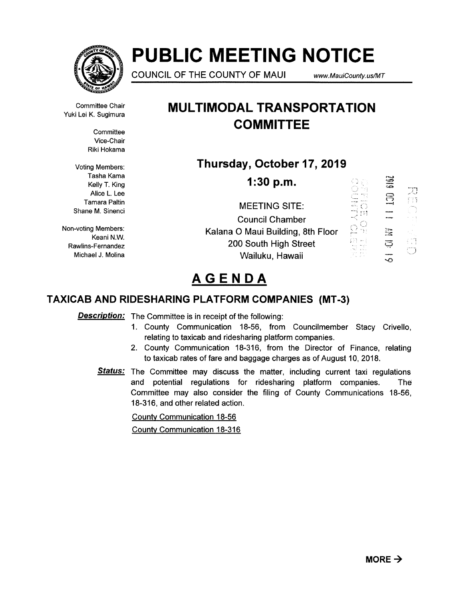

# PUBLIC MEETING NOTICE

COUNCIL OF THE COUNTY OF MAUI www.MauiCounty.usJMT

호)

Ű

Committee Chair Vuki Lei K. Sugimura

> **Committee** Vice-Chair Riki Hokama

Voting Members: Tasha Kama Kelly T. King Alice L. Lee Tamara Paltin Shane M. Sinenci

Non-voting Members: Keani N.W. Rawlins-Fernandez Michael J. Molina

## MULTIMODAL TRANSPORTATION **COMMITTEE**

## Thursday, October 17, 2019

1:30 p.m.

SI) 등 준 MEETING SITE:  $\mathbb{T}\mathbb{H}$ Council Chamber O 요유 X Kalana 0 Maui Building, 8th Floor 打算 200 South High Street Wailuku, Hawaii

# AGENDA

## TAXICAB AND RIDESHARING PLATFORM COMPANIES (MT-3)

**Description:** The Committee is in receipt of the following:

- 1. County Communication 18-56, from Councilmember Stacy Crivello, relating to taxicab and ridesharing platform companies.
- 2. County Communication 18-316, from the Director of Finance, relating to taxicab rates of fare and baggage charges as of August 10, 2018.
- **Status:** The Committee may discuss the matter, including current taxi regulations and potential regulations for ridesharing platform companies. The Committee may also consider the filing of County Communications 18-56, 18-316, and other related action.

County Communication 18-56 County Communication 18-316